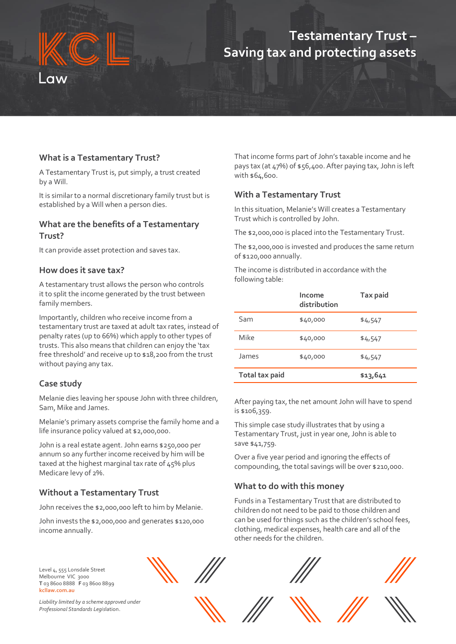## **Testamentary Trust – Saving tax and protecting assets**

#### **What is a Testamentary Trust?**

A Testamentary Trust is, put simply, a trust created by a Will.

It is similar to a normal discretionary family trust but is established by a Will when a person dies.

#### **What are the benefits of a Testamentary Trust?**

It can provide asset protection and saves tax.

#### **How does it save tax?**

A testamentary trust allows the person who controls it to split the income generated by the trust between family members.

Importantly, children who receive income from a testamentary trust are taxed at adult tax rates, instead of penalty rates (up to 66%) which apply to other types of trusts. This also means that children can enjoy the 'tax free threshold' and receive up to \$18,200 from the trust without paying any tax.

#### **Case study**

Melanie dies leaving her spouse John with three children, Sam, Mike and James.

Melanie's primary assets comprise the family home and a life insurance policy valued at \$2,000,000.

John is a real estate agent. John earns \$250,000 per annum so any further income received by him will be taxed at the highest marginal tax rate of 45% plus Medicare levy of 2%.

#### **Without a Testamentary Trust**

John receives the \$2,000,000 left to him by Melanie.

John invests the \$2,000,000 and generates \$120,000 income annually.

That income forms part of John's taxable income and he pays tax (at 47%) of \$56,400. After paying tax, John is left with \$64,600.

#### **With a Testamentary Trust**

In this situation, Melanie's Will creates a Testamentary Trust which is controlled by John.

The \$2,000,000 is placed into the Testamentary Trust.

The \$2,000,000 is invested and produces the same return of \$120,000 annually.

The income is distributed in accordance with the following table:

|                       | Income<br>distribution | Tax paid |
|-----------------------|------------------------|----------|
| Sam                   | \$40,000               | \$4,547  |
| Mike                  | \$40,000               | \$4,547  |
| James                 | \$40,000               | \$4,547  |
| <b>Total tax paid</b> |                        | \$13,641 |

After paying tax, the net amount John will have to spend is \$106,359.

This simple case study illustrates that by using a Testamentary Trust, just in year one, John is able to save \$41,759.

Over a five year period and ignoring the effects of compounding, the total savings will be over \$210,000.

#### **What to do with this money**

Funds in a Testamentary Trust that are distributed to children do not need to be paid to those children and can be used for things such as the children's school fees, clothing, medical expenses, health care and all of the other needs for the children.

Level 4, 555 Lonsdale Street Melbourne VIC 3000 **T** 03 8600 8888 **F** 03 8600 8899 **kcllaw.com.au**



*Liability limited by a scheme approved under Professional Standards Legis*lation.